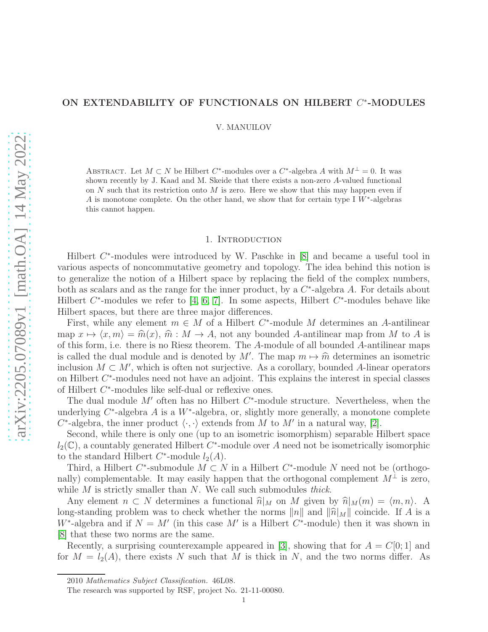# ON EXTENDABILITY OF FUNCTIONALS ON HILBERT  $C^*$ -MODULES

V. MANUILOV

ABSTRACT. Let  $M \subset N$  be Hilbert  $C^*$ -modules over a  $C^*$ -algebra A with  $M^{\perp} = 0$ . It was shown recently by J. Kaad and M. Skeide that there exists a non-zero A-valued functional on  $N$  such that its restriction onto  $M$  is zero. Here we show that this may happen even if A is monotone complete. On the other hand, we show that for certain type I  $\widetilde{W}^*$ -algebras this cannot happen.

### 1. INTRODUCTION

Hilbert  $C^*$ -modules were introduced by W. Paschke in [\[8\]](#page-7-0) and became a useful tool in various aspects of noncommutative geometry and topology. The idea behind this notion is to generalize the notion of a Hilbert space by replacing the field of the complex numbers, both as scalars and as the range for the inner product, by a  $C^*$ -algebra A. For details about Hilbert  $C^*$ -modules we refer to [\[4,](#page-7-1) [6,](#page-7-2) [7\]](#page-7-3). In some aspects, Hilbert  $C^*$ -modules behave like Hilbert spaces, but there are three major differences.

First, while any element  $m \in M$  of a Hilbert  $C^*$ -module M determines an A-antilinear map  $x \mapsto \langle x, m \rangle = \hat{m}(x)$ ,  $\hat{m} : M \to A$ , not any bounded A-antilinear map from M to A is of this form, i.e. there is no Riesz theorem. The A-module of all bounded A-antilinear maps is called the dual module and is denoted by M'. The map  $m \mapsto \widehat{m}$  determines an isometric<br>inclusion  $M \subseteq M'$  which is often not equipation. As a sensitive hourshall delinear property inclusion  $M \subset M'$ , which is often not surjective. As a corollary, bounded A-linear operators on Hilbert  $C^*$ -modules need not have an adjoint. This explains the interest in special classes of Hilbert  $C^*$ -modules like self-dual or reflexive ones.

The dual module  $M'$  often has no Hilbert  $C^*$ -module structure. Nevertheless, when the underlying  $C^*$ -algebra A is a W<sup>\*</sup>-algebra, or, slightly more generally, a monotone complete  $C^*$ -algebra, the inner product  $\langle \cdot, \cdot \rangle$  extends from M to M' in a natural way, [\[2\]](#page-7-4).

Second, while there is only one (up to an isometric isomorphism) separable Hilbert space  $l_2(\mathbb{C})$ , a countably generated Hilbert  $C^*$ -module over A need not be isometrically isomorphic to the standard Hilbert  $C^*$ -module  $l_2(A)$ .

Third, a Hilbert  $C^*$ -submodule  $M \subset N$  in a Hilbert  $C^*$ -module N need not be (orthogonally) complementable. It may easily happen that the orthogonal complement  $M^{\perp}$  is zero, while  $M$  is strictly smaller than  $N$ . We call such submodules thick.

Any element  $n \subset N$  determines a functional  $\hat{n}|_M$  on M given by  $\hat{n}|_M(m) = \langle m, n \rangle$ . A long-standing problem was to check whether the norms ||n|| and  $\|\hat{n}|_M\|$  coincide. If A is a W<sup>\*</sup>-algebra and if  $N = M'$  (in this case M' is a Hilbert C<sup>\*</sup>-module) then it was shown in [\[8\]](#page-7-0) that these two norms are the same.

Recently, a surprising counterexample appeared in [\[3\]](#page-7-5), showing that for  $A = C[0; 1]$  and for  $M = l_2(A)$ , there exists N such that M is thick in N, and the two norms differ. As

<sup>2010</sup> Mathematics Subject Classification. 46L08.

The research was supported by RSF, project No. 21-11-00080.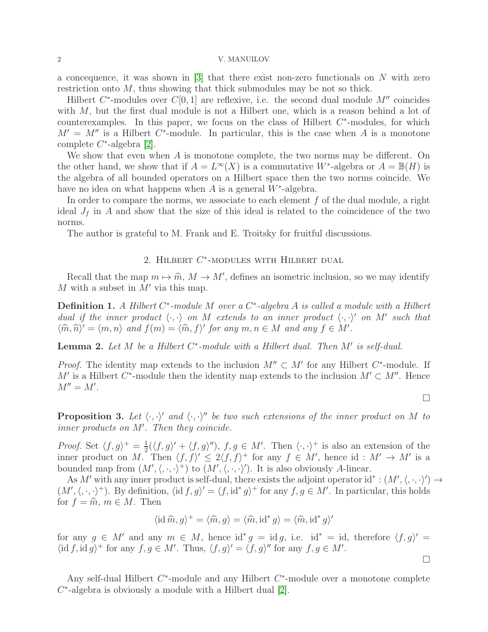a concequence, it was shown in  $[3]$  that there exist non-zero functionals on N with zero restriction onto  $M$ , thus showing that thick submodules may be not so thick.

Hilbert  $C^*$ -modules over  $C[0, 1]$  are reflexive, i.e. the second dual module  $M''$  coincides with  $M$ , but the first dual module is not a Hilbert one, which is a reason behind a lot of counterexamples. In this paper, we focus on the class of Hilbert  $C^*$ -modules, for which  $M' = M''$  is a Hilbert C<sup>\*</sup>-module. In particular, this is the case when A is a monotone complete  $C^*$ -algebra [\[2\]](#page-7-4).

We show that even when  $A$  is monotone complete, the two norms may be different. On the other hand, we show that if  $A = L^{\infty}(X)$  is a commutative W<sup>\*</sup>-algebra or  $A = \mathbb{B}(H)$  is the algebra of all bounded operators on a Hilbert space then the two norms coincide. We have no idea on what happens when  $A$  is a general  $W^*$ -algebra.

In order to compare the norms, we associate to each element  $f$  of the dual module, a right ideal  $J_f$  in A and show that the size of this ideal is related to the coincidence of the two norms.

The author is grateful to M. Frank and E. Troitsky for fruitful discussions.

# 2. HILBERT  $C^*$ -MODULES WITH HILBERT DUAL

Recall that the map  $m \mapsto \hat{m}$ ,  $M \to M'$ , defines an isometric inclusion, so we may identify M with a subset in  $M'$  via this map.

**Definition 1.** A Hilbert  $C^*$ -module M over a  $C^*$ -algebra A is called a module with a Hilbert dual if the inner product  $\langle \cdot, \cdot \rangle$  on M extends to an inner product  $\langle \cdot, \cdot \rangle'$  on M' such that  $\langle \widehat{m}, \widehat{n} \rangle' = \langle m, n \rangle$  and  $f(m) = \langle \widehat{m}, f \rangle'$  for any  $m, n \in M$  and any  $f \in M'$ .

**Lemma 2.** Let  $M$  be a Hilbert  $C^*$ -module with a Hilbert dual. Then  $M'$  is self-dual.

*Proof.* The identity map extends to the inclusion  $M'' \subset M'$  for any Hilbert  $C^*$ -module. If M' is a Hilbert  $C^*$ -module then the identity map extends to the inclusion  $M' \subset M''$ . Hence  $M''=M'.$ 

 $\Box$ 

 $\Box$ 

**Proposition 3.** Let  $\langle \cdot, \cdot \rangle'$  and  $\langle \cdot, \cdot \rangle''$  be two such extensions of the inner product on M to inner products on M′ . Then they coincide.

*Proof.* Set  $\langle f, g \rangle^+ = \frac{1}{2}$  $\frac{1}{2}(\langle f, g \rangle' + \langle f, g \rangle'')$ ,  $f, g \in M'$ . Then  $\langle \cdot, \cdot \rangle^+$  is also an extension of the inner product on M. Then  $\langle f, f \rangle' \leq 2 \langle f, f \rangle^+$  for any  $f \in M'$ , hence id:  $M' \to M'$  is a bounded map from  $(M', \langle, \cdot, \cdot \rangle^+)$  to  $(M', \langle, \cdot, \cdot \rangle')$ . It is also obviously A-linear.

As M' with any inner product is self-dual, there exists the adjoint operator  $id^* : (M', \langle, \cdot, \cdot \rangle') \rightarrow$  $(M', \langle, \cdot, \cdot \rangle^+)$ . By definition,  $\langle id, g \rangle' = \langle f, id^* g \rangle^+$  for any  $f, g \in M'$ . In particular, this holds for  $f = \hat{m}$ ,  $m \in M$ . Then

$$
\langle \mathrm{id} \,\widehat{m}, g \rangle^+ = \langle \widehat{m}, g \rangle = \langle \widehat{m}, \mathrm{id}^* g \rangle = \langle \widehat{m}, \mathrm{id}^* g \rangle'
$$

for any  $g \in M'$  and any  $m \in M$ , hence  $\mathrm{id}^* g = \mathrm{id} g$ , i.e.  $\mathrm{id}^* = \mathrm{id}$ , therefore  $\langle f, g \rangle' =$  $\langle \mathrm{id} f, \mathrm{id} g \rangle^+$  for any  $f, g \in M'$ . Thus,  $\langle f, g \rangle' = \langle f, g \rangle''$  for any  $f, g \in M'$ .

Any self-dual Hilbert  $C^*$ -module and any Hilbert  $C^*$ -module over a monotone complete  $C^*$ -algebra is obviously a module with a Hilbert dual  $[2]$ .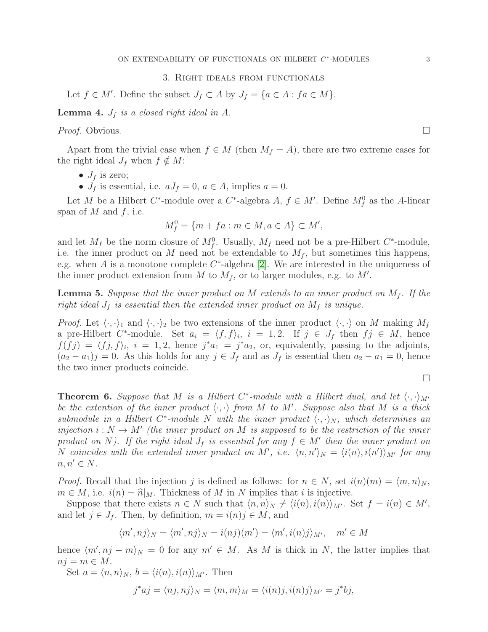### 3. Right ideals from functionals

Let  $f \in M'$ . Define the subset  $J_f \subset A$  by  $J_f = \{a \in A : fa \in M\}$ .

**Lemma 4.**  $J_f$  is a closed right ideal in A.

*Proof.* Obvious.  $\Box$ 

Apart from the trivial case when  $f \in M$  (then  $M_f = A$ ), there are two extreme cases for the right ideal  $J_f$  when  $f \notin M$ :

- $J_f$  is zero;
- $J_f$  is essential, i.e.  $aJ_f = 0, a \in A$ , implies  $a = 0$ .

Let M be a Hilbert C<sup>\*</sup>-module over a C<sup>\*</sup>-algebra A,  $f \in M'$ . Define  $M_f^0$  as the A-linear span of  $M$  and  $f$ , i.e.

$$
M_f^0 = \{m + fa : m \in M, a \in A\} \subset M',
$$

and let  $M_f$  be the norm closure of  $M_f^0$ . Usually,  $M_f$  need not be a pre-Hilbert  $C^*$ -module, i.e. the inner product on M need not be extendable to  $M_f$ , but sometimes this happens, e.g. when  $A$  is a monotone complete  $C^*$ -algebra [\[2\]](#page-7-4). We are interested in the uniqueness of the inner product extension from  $M$  to  $M_f$ , or to larger modules, e.g. to  $M'$ .

**Lemma 5.** Suppose that the inner product on M extends to an inner product on  $M_f$ . If the right ideal  $J_f$  is essential then the extended inner product on  $M_f$  is unique.

*Proof.* Let  $\langle \cdot, \cdot \rangle$  and  $\langle \cdot, \cdot \rangle$  be two extensions of the inner product  $\langle \cdot, \cdot \rangle$  on M making  $M_f$ a pre-Hilbert  $C^*$ -module. Set  $a_i = \langle f, f \rangle_i$ ,  $i = 1, 2$ . If  $j \in J_f$  then  $f_j \in M$ , hence  $f(fj) = \langle fj, f \rangle_i, i = 1, 2$ , hence  $j^*a_1 = j^*a_2$ , or, equivalently, passing to the adjoints,  $(a_2 - a_1)j = 0$ . As this holds for any  $j \in J_f$  and as  $J_f$  is essential then  $a_2 - a_1 = 0$ , hence the two inner products coincide.

$$
\Box
$$

<span id="page-2-0"></span>**Theorem 6.** Suppose that M is a Hilbert C<sup>\*</sup>-module with a Hilbert dual, and let  $\langle \cdot, \cdot \rangle_{M'}$ be the extention of the inner product  $\langle \cdot, \cdot \rangle$  from M to M'. Suppose also that M is a thick submodule in a Hilbert C<sup>\*</sup>-module N with the inner product  $\langle \cdot, \cdot \rangle_N$ , which determines an injection  $i : N \to M'$  (the inner product on M is supposed to be the restriction of the inner product on N). If the right ideal  $J_f$  is essential for any  $f \in M'$  then the inner product on N coincides with the extended inner product on M', i.e.  $\langle n, n' \rangle_N = \langle i(n), i(n') \rangle_{M'}$  for any  $n, n' \in N$ .

*Proof.* Recall that the injection j is defined as follows: for  $n \in N$ , set  $i(n)(m) = \langle m, n \rangle_N$ ,  $m \in M$ , i.e.  $i(n) = \hat{n}|_M$ . Thickness of M in N implies that i is injective.

Suppose that there exists  $n \in N$  such that  $\langle n, n \rangle_N \neq \langle i(n), i(n) \rangle_{M'}$ . Set  $f = i(n) \in M'$ , and let  $j \in J_f$ . Then, by definition,  $m = i(n)j \in M$ , and

$$
\langle m', nj \rangle_N = \langle m', nj \rangle_N = i(nj)(m') = \langle m', i(n)j \rangle_{M'}, \quad m' \in M
$$

hence  $\langle m', nj - m \rangle_N = 0$  for any  $m' \in M$ . As M is thick in N, the latter implies that  $nj = m \in M$ .

Set  $a = \langle n, n \rangle_N$ ,  $b = \langle i(n), i(n) \rangle_{M'}$ . Then

$$
j^*aj = \langle nj, nj \rangle_N = \langle m, m \rangle_M = \langle i(n)j, i(n)j \rangle_{M'} = j^*bj,
$$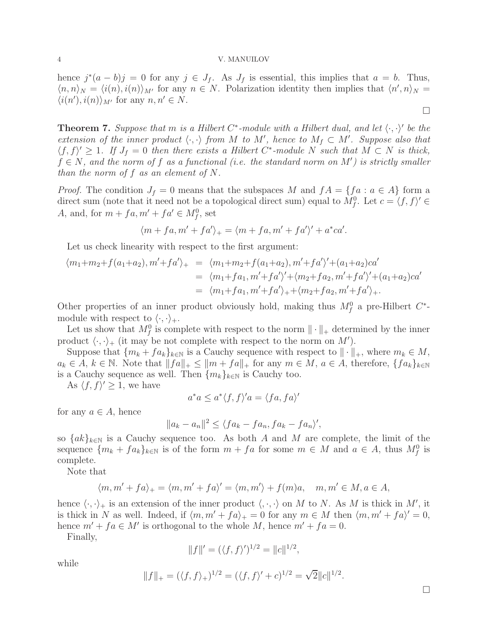hence  $j^*(a - b)j = 0$  for any  $j \in J_f$ . As  $J_f$  is essential, this implies that  $a = b$ . Thus,  $\langle n, n \rangle_N = \langle i(n), i(n) \rangle_{M'}$  for any  $n \in N$ . Polarization identity then implies that  $\langle n', n \rangle_N =$  $\langle i(n'), i(n) \rangle_{M'}$  for any  $n, n' \in N$ .

<span id="page-3-0"></span>**Theorem 7.** Suppose that m is a Hilbert C<sup>\*</sup>-module with a Hilbert dual, and let  $\langle \cdot, \cdot \rangle'$  be the extension of the inner product  $\langle \cdot, \cdot \rangle$  from M to M', hence to  $M_f \subset M'$ . Suppose also that  $\langle f, f \rangle' \geq 1$ . If  $J_f = 0$  then there exists a Hilbert C<sup>\*</sup>-module N such that  $M \subset N$  is thick,  $f \in N$ , and the norm of f as a functional (i.e. the standard norm on M') is strictly smaller than the norm of  $f$  as an element of  $N$ .

*Proof.* The condition  $J_f = 0$  means that the subspaces M and  $fA = \{fa : a \in A\}$  form a direct sum (note that it need not be a topological direct sum) equal to  $M_f^0$ . Let  $c = \langle f, f \rangle' \in$ A, and, for  $m + fa$ ,  $m' + fa' \in M_f^0$ , set

$$
\langle m + fa, m' + fa' \rangle_{+} = \langle m + fa, m' + fa' \rangle' + a^* ca'.
$$

Let us check linearity with respect to the first argument:

$$
\langle m_1 + m_2 + f(a_1 + a_2), m' + fa' \rangle_{+} = \langle m_1 + m_2 + f(a_1 + a_2), m' + fa' \rangle' + (a_1 + a_2)ca'
$$
  
=  $\langle m_1 + fa_1, m' + fa' \rangle' + \langle m_2 + fa_2, m' + fa' \rangle' + (a_1 + a_2)ca'$   
=  $\langle m_1 + fa_1, m' + fa' \rangle_{+} + \langle m_2 + fa_2, m' + fa' \rangle_{+}.$ 

Other properties of an inner product obviously hold, making thus  $M_f^0$  a pre-Hilbert  $C^*$ module with respect to  $\langle \cdot, \cdot \rangle_+.$ 

Let us show that  $M_f^0$  is complete with respect to the norm  $\|\cdot\|_+$  determined by the inner product  $\langle \cdot, \cdot \rangle_+$  (it may be not complete with respect to the norm on M').

Suppose that  $\{m_k + fa_k\}_{k\in\mathbb{N}}$  is a Cauchy sequence with respect to  $\|\cdot\|_+$ , where  $m_k \in M$ ,  $a_k \in A, k \in \mathbb{N}$ . Note that  $||fa||_+ \leq ||m + fa||_+$  for any  $m \in M$ ,  $a \in A$ , therefore,  $\{fa_k\}_{k\in\mathbb{N}}$ is a Cauchy sequence as well. Then  $\{m_k\}_{k\in\mathbb{N}}$  is Cauchy too.

As  $\langle f, f \rangle' \geq 1$ , we have

$$
a^*a \le a^* \langle f, f \rangle' a = \langle fa, fa \rangle'
$$

for any  $a \in A$ , hence

$$
||a_k - a_n||^2 \le \langle fa_k - fa_n, fa_k - fa_n \rangle',
$$

so  $\{ak\}_{k\in\mathbb{N}}$  is a Cauchy sequence too. As both A and M are complete, the limit of the sequence  ${m_k + fa_k}_{k \in \mathbb{N}}$  is of the form  $m + fa$  for some  $m \in M$  and  $a \in A$ , thus  $M_f^0$  is complete.

Note that

$$
\langle m, m' + fa \rangle_+ = \langle m, m' + fa \rangle' = \langle m, m' \rangle + f(m)a, \quad m, m' \in M, a \in A,
$$

hence  $\langle \cdot, \cdot \rangle_+$  is an extension of the inner product  $\langle \cdot, \cdot \rangle$  on M to N. As M is thick in M', it is thick in N as well. Indeed, if  $\langle m, m' + fa \rangle_+ = 0$  for any  $m \in M$  then  $\langle m, m' + fa \rangle' = 0$ , hence  $m' + fa \in M'$  is orthogonal to the whole M, hence  $m' + fa = 0$ .

Finally,

$$
||f||' = (\langle f, f \rangle')^{1/2} = ||c||^{1/2},
$$

while

$$
||f||_{+} = (\langle f, f \rangle_{+})^{1/2} = (\langle f, f \rangle' + c)^{1/2} = \sqrt{2}||c||^{1/2}
$$

.

 $\Box$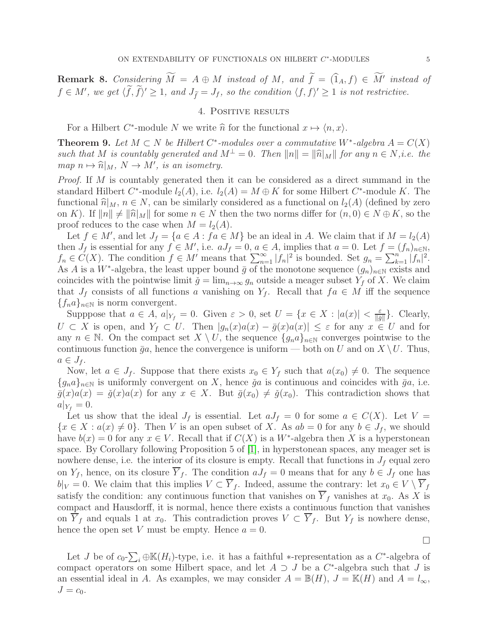**Remark 8.** Considering  $M = A \oplus M$  instead of M, and  $f = (\hat{1}_A, f) \in M'$  instead of  $f \in M'$ , we get  $\langle f, \hat{f} \rangle' \geq 1$ , and  $J_{\tilde{f}} = J_f$ , so the condition  $\langle f, f \rangle' \geq 1$  is not restrictive.

## 4. POSITIVE RESULTS

For a Hilbert  $C^*$ -module N we write  $\hat{n}$  for the functional  $x \mapsto \langle n, x \rangle$ .

**Theorem 9.** Let  $M \subset N$  be Hilbert  $C^*$ -modules over a commutative W<sup>∗</sup>-algebra  $A = C(X)$ such that M is countably generated and  $M^{\perp} = 0$ . Then  $||n|| = ||\hat{n}|_M||$  for any  $n \in N$ ,i.e. the  $map\ n \mapsto \widehat{n}|_M, N \to M',$  is an isometry.

Proof. If M is countably generated then it can be considered as a direct summand in the standard Hilbert  $C^*$ -module  $l_2(A)$ , i.e.  $l_2(A) = M \oplus K$  for some Hilbert  $C^*$ -module K. The functional  $\hat{n}|_M$ ,  $n \in N$ , can be similarly considered as a functional on  $l_2(A)$  (defined by zero on K). If  $||n|| \neq ||\hat{n}|_M||$  for some  $n \in N$  then the two norms differ for  $(n, 0) \in N \oplus K$ , so the proof reduces to the case when  $M = l_2(A)$ .

Let  $f \in M'$ , and let  $J_f = \{a \in A : fa \in M\}$  be an ideal in A. We claim that if  $M = l_2(A)$ then  $J_f$  is essential for any  $f \in M'$ , i.e.  $aJ_f = 0, a \in A$ , implies that  $a = 0$ . Let  $f = (f_n)_{n \in \mathbb{N}}$ ,  $f_n \in C(X)$ . The condition  $f \in M'$  means that  $\sum_{n=1}^{\infty} |f_n|^2$  is bounded. Set  $g_n = \sum_{k=1}^n |f_n|^2$ . As A is a W<sup>\*</sup>-algebra, the least upper bound  $\bar{g}$  of the monotone sequence  $(g_n)_{n\in\mathbb{N}}$  exists and coincides with the pointwise limit  $\check{g} = \lim_{n \to \infty} g_n$  outside a meager subset  $Y_f$  of X. We claim that  $J_f$  consists of all functions a vanishing on  $Y_f$ . Recall that  $fa \in M$  iff the sequence  ${f_na}_{n\in\mathbb{N}}$  is norm convergent.

Supppose that  $a \in A$ ,  $a|_{Y_f} = 0$ . Given  $\varepsilon > 0$ , set  $U = \{x \in X : |a(x)| < \frac{\varepsilon}{\|\overline{g}\|}$  $\frac{\varepsilon}{\|\bar{g}\|}$ . Clearly,  $U \subset X$  is open, and  $Y_f \subset U$ . Then  $|g_n(x)a(x) - \bar{g}(x)a(x)| \leq \varepsilon$  for any  $x \in U$  and for any  $n \in \mathbb{N}$ . On the compact set  $X \setminus U$ , the sequence  $\{g_n a\}_{n\in\mathbb{N}}$  converges pointwise to the continuous function  $\bar{g}a$ , hence the convergence is uniform — both on U and on  $X \setminus U$ . Thus,  $a \in J_f$ .

Now, let  $a \in J_f$ . Suppose that there exists  $x_0 \in Y_f$  such that  $a(x_0) \neq 0$ . The sequence  ${g_na}_{n\in\mathbb{N}}$  is uniformly convergent on X, hence  $\check{g}a$  is continuous and coincides with  $\bar{g}a$ , i.e.  $\bar{g}(x)a(x) = \check{g}(x)a(x)$  for any  $x \in X$ . But  $\bar{g}(x_0) \neq \check{g}(x_0)$ . This contradiction shows that  $a|_{Y_f} = 0.$ 

Let us show that the ideal  $J_f$  is essential. Let  $aJ_f = 0$  for some  $a \in C(X)$ . Let  $V =$  ${x \in X : a(x) \neq 0}$ . Then V is an open subset of X. As  $ab = 0$  for any  $b \in J_f$ , we should have  $b(x) = 0$  for any  $x \in V$ . Recall that if  $C(X)$  is a  $W^*$ -algebra then X is a hyperstonean space. By Corollary following Proposition 5 of [\[1\]](#page-7-6), in hyperstonean spaces, any meager set is nowhere dense, i.e. the interior of its closure is empty. Recall that functions in  $J_f$  equal zero on  $Y_f$ , hence, on its closure  $\overline{Y}_f$ . The condition  $aJ_f = 0$  means that for any  $b \in J_f$  one has  $b|_V = 0$ . We claim that this implies  $V \subset \overline{Y}_f$ . Indeed, assume the contrary: let  $x_0 \in V \setminus \overline{Y}_f$ satisfy the condition: any continuous function that vanishes on  $\overline{Y}_f$  vanishes at  $x_0$ . As X is compact and Hausdorff, it is normal, hence there exists a continuous function that vanishes on  $\overline{Y}_f$  and equals 1 at  $x_0$ . This contradiction proves  $V \subset \overline{Y}_f$ . But  $Y_f$  is nowhere dense, hence the open set V must be empty. Hence  $a = 0$ .

$$
\qquad \qquad \Box
$$

Let J be of  $c_0$ - $\sum_i \oplus \mathbb{K}(H_i)$ -type, i.e. it has a faithful \*-representation as a  $C^*$ -algebra of compact operators on some Hilbert space, and let  $A \supset J$  be a  $C^*$ -algebra such that  $J$  is an essential ideal in A. As examples, we may consider  $A = \mathbb{B}(H)$ ,  $J = \mathbb{K}(H)$  and  $A = l_{\infty}$ ,  $J=c_0$ .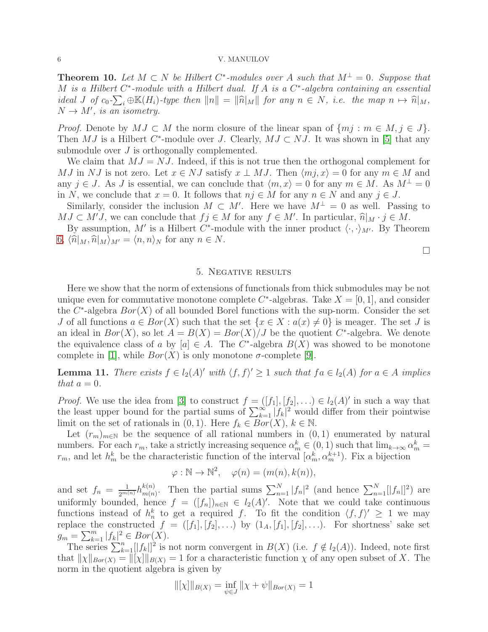**Theorem 10.** Let  $M \subset N$  be Hilbert  $C^*$ -modules over A such that  $M^{\perp} = 0$ . Suppose that M is a Hilbert  $C^*$ -module with a Hilbert dual. If A is a  $C^*$ -algebra containing an essential ideal J of  $c_0$ - $\sum_i \oplus \mathbb{K}(H_i)$ -type then  $||n|| = ||\widehat{n}|_M||$  for any  $n \in N$ , i.e. the map  $n \mapsto \widehat{n}|_M$ ,  $N \rightarrow M'$ , is an isometry.

*Proof.* Denote by  $MJ \subset M$  the norm closure of the linear span of  $\{mj : m \in M, j \in J\}$ . Then MJ is a Hilbert C<sup>\*</sup>-module over J. Clearly,  $MJ \subset NJ$ . It was shown in [\[5\]](#page-7-7) that any submodule over J is orthogonally complemented.

We claim that  $MJ = NJ$ . Indeed, if this is not true then the orthogonal complement for MJ in NJ is not zero. Let  $x \in NJ$  satisfy  $x \perp MJ$ . Then  $\langle mj, x \rangle = 0$  for any  $m \in M$  and any  $j \in J$ . As J is essential, we can conclude that  $\langle m, x \rangle = 0$  for any  $m \in M$ . As  $M^{\perp} = 0$ in N, we conclude that  $x = 0$ . It follows that  $n j \in M$  for any  $n \in N$  and any  $j \in J$ .

Similarly, consider the inclusion  $M \subset M'$ . Here we have  $M^{\perp} = 0$  as well. Passing to  $MJ \subset M'J$ , we can conclude that  $f_j \in M$  for any  $f \in M'$ . In particular,  $\hat{n}|_M \cdot j \in M$ .<br>Preserves the  $M'$  is a Hilbert  $C^*$  we delegated the inner number  $\langle \cdot \rangle$ .

By assumption, M' is a Hilbert C<sup>\*</sup>-module with the inner product  $\langle \cdot, \cdot \rangle_{M'}$ . By Theorem [6,](#page-2-0)  $\langle \hat{n}|_M, \hat{n}|_M \rangle_{M'} = \langle n, n \rangle_N$  for any  $n \in N$ .

 $\Box$ 

## 5. Negative results

Here we show that the norm of extensions of functionals from thick submodules may be not unique even for commutative monotone complete  $C^*$ -algebras. Take  $X = [0, 1]$ , and consider the  $C^*$ -algebra  $Bor(X)$  of all bounded Borel functions with the sup-norm. Consider the set J of all functions  $a \in Bor(X)$  such that the set  $\{x \in X : a(x) \neq 0\}$  is meager. The set J is an ideal in  $Bor(X)$ , so let  $A = B(X) = Bor(X)/J$  be the quotient  $C^*$ -algebra. We denote the equivalence class of a by  $[a] \in A$ . The C<sup>\*</sup>-algebra  $B(X)$  was showed to be monotone complete in [\[1\]](#page-7-6), while  $Bor(X)$  is only monotone  $\sigma$ -complete [\[9\]](#page-8-0).

<span id="page-5-0"></span>**Lemma 11.** There exists  $f \in l_2(A)'$  with  $\langle f, f \rangle' \geq 1$  such that  $fa \in l_2(A)$  for  $a \in A$  implies that  $a = 0$ .

*Proof.* We use the idea from [\[3\]](#page-7-5) to construct  $f = ([f_1], [f_2], ...) \in l_2(A)'$  in such a way that the least upper bound for the partial sums of  $\sum_{k=1}^{\infty} |f_k|^2$  would differ from their pointwise limit on the set of rationals in  $(0, 1)$ . Here  $f_k \in Bor(X)$ ,  $k \in \mathbb{N}$ .

Let  $(r_m)_{m\in\mathbb{N}}$  be the sequence of all rational numbers in  $(0, 1)$  enumerated by natural numbers. For each  $r_m$ , take a strictly increasing sequence  $\alpha_m^k \in (0, 1)$  such that  $\lim_{k \to \infty} \alpha_m^k =$  $r_m$ , and let  $h_m^k$  be the characteristic function of the interval  $[\alpha_m^k, \alpha_m^{k+1}]$ . Fix a bijection

$$
\varphi : \mathbb{N} \to \mathbb{N}^2, \quad \varphi(n) = (m(n), k(n)),
$$

and set  $f_n = \frac{1}{2^{m(n)}} h_{m(n)}^{k(n)}$  $\sum_{n=1}^{k(n)}$ . Then the partial sums  $\sum_{n=1}^{N} |f_n|^2$  (and hence  $\sum_{n=1}^{N} |[f_n]|^2$ ) are uniformly bounded, hence  $f = ([f_n])_{n \in \mathbb{N}} \in l_2(A)'$ . Note that we could take continuous functions instead of  $h_n^k$  to get a required f. To fit the condition  $\langle f, f \rangle' \geq 1$  we may replace the constructed  $f = ([f_1], [f_2], \ldots)$  by  $(1_A, [f_1], [f_2], \ldots)$ . For shortness' sake set  $g_m = \sum_{k=1}^m |f_k|^2 \in Bor(X).$ 

The series  $\sum_{k=1}^{n} [|f_k|]^2$  is not norm convergent in  $B(X)$  (i.e.  $f \notin l_2(A)$ ). Indeed, note first that  $\|\chi\|_{Bor(X)} = \|[\chi]\|_{B(X)} = 1$  for a characteristic function  $\chi$  of any open subset of X. The norm in the quotient algebra is given by

$$
\|[\chi]\|_{B(X)} = \inf_{\psi \in J} \|\chi + \psi\|_{Bor(X)} = 1
$$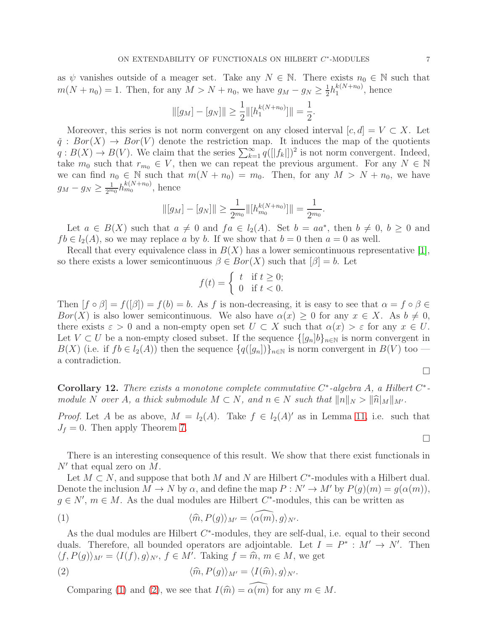as  $\psi$  vanishes outside of a meager set. Take any  $N \in \mathbb{N}$ . There exists  $n_0 \in \mathbb{N}$  such that  $m(N + n_0) = 1$ . Then, for any  $M > N + n_0$ , we have  $g_M - g_N \ge \frac{1}{2}$  $\frac{1}{2}h_1^{k(N+n_0)}$  $\int_1^{\kappa(N+n_0)}$ , hence

$$
\| [g_M] - [g_N] \| \ge \frac{1}{2} \| [h_1^{k(N+n_0)}] \| = \frac{1}{2}.
$$

Moreover, this series is not norm convergent on any closed interval  $[c, d] = V \subset X$ . Let  $\check{q}$ :  $Bor(X) \rightarrow Bor(V)$  denote the restriction map. It induces the map of the quotients  $q: B(X) \to B(V)$ . We claim that the series  $\sum_{k=1}^{\infty} q(||f_k||)^2$  is not norm convergent. Indeed, take  $m_0$  such that  $r_{m_0} \in V$ , then we can repeat the previous argument. For any  $N \in \mathbb{N}$ we can find  $n_0 \in \mathbb{N}$  such that  $m(N + n_0) = m_0$ . Then, for any  $M > N + n_0$ , we have  $g_M - g_N \ge \frac{1}{2^{m_0}} h_{m_0}^{k(N+n_0)}$ , hence

$$
\| [g_M] - [g_N] \| \ge \frac{1}{2^{m_0}} \| [h_{m_0}^{k(N+n_0)}] \| = \frac{1}{2^{m_0}}.
$$

Let  $a \in B(X)$  such that  $a \neq 0$  and  $fa \in l_2(A)$ . Set  $b = aa^*$ , then  $b \neq 0$ ,  $b \geq 0$  and  $fb \in l_2(A)$ , so we may replace a by b. If we show that  $b = 0$  then  $a = 0$  as well.

Recall that every equivalence class in  $B(X)$  has a lower semicontinuous representative [\[1\]](#page-7-6), so there exists a lower semicontinuous  $\beta \in Bor(X)$  such that  $[\beta] = b$ . Let

$$
f(t) = \begin{cases} t & \text{if } t \ge 0; \\ 0 & \text{if } t < 0. \end{cases}
$$

Then  $[f \circ \beta] = f([\beta]) = f(b) = b$ . As f is non-decreasing, it is easy to see that  $\alpha = f \circ \beta \in$ Bor(X) is also lower semicontinuous. We also have  $\alpha(x) \geq 0$  for any  $x \in X$ . As  $b \neq 0$ , there exists  $\varepsilon > 0$  and a non-empty open set  $U \subset X$  such that  $\alpha(x) > \varepsilon$  for any  $x \in U$ . Let  $V \subset U$  be a non-empty closed subset. If the sequence  $\{[g_n]b\}_{n\in\mathbb{N}}$  is norm convergent in  $B(X)$  (i.e. if  $fb \in l_2(A)$ ) then the sequence  $\{q([g_n])\}_{n\in\mathbb{N}}$  is norm convergent in  $B(V)$  too a contradiction.

 $\Box$ 

 $\Box$ 

Corollary 12. There exists a monotone complete commutative  $C^*$ -algebra A, a Hilbert  $C^*$ module N over A, a thick submodule  $M \subset N$ , and  $n \in N$  such that  $||n||_N > ||\hat{n}||_M||_M$ .

*Proof.* Let A be as above,  $M = l_2(A)$ . Take  $f \in l_2(A)'$  as in Lemma [11,](#page-5-0) i.e. such that  $J_f = 0$ . Then apply Theorem [7.](#page-3-0)

There is an interesting consequence of this result. We show that there exist functionals in  $N'$  that equal zero on  $M$ .

Let  $M \subset N$ , and suppose that both  $M$  and  $N$  are Hilbert  $C^*$ -modules with a Hilbert dual. Denote the inclusion  $M \to N$  by  $\alpha$ , and define the map  $P: N' \to M'$  by  $P(g)(m) = g(\alpha(m))$ ,  $g \in N'$ ,  $m \in M$ . As the dual modules are Hilbert  $C^*$ -modules, this can be written as

<span id="page-6-0"></span>(1) 
$$
\langle \widehat{m}, P(g) \rangle_{M'} = \langle \widehat{\alpha(m)}, g \rangle_{N'}.
$$

As the dual modules are Hilbert  $C^*$ -modules, they are self-dual, i.e. equal to their second duals. Therefore, all bounded operators are adjointable. Let  $I = P^* : M' \to N'$ . Then  $\langle f, P(g) \rangle_{M'} = \langle I(f), g \rangle_{N'}, f \in M'.$  Taking  $f = \hat{m}, m \in M$ , we get

(2) 
$$
\langle \widehat{m}, P(g) \rangle_{M'} = \langle I(\widehat{m}), g \rangle_{N'}.
$$

<span id="page-6-1"></span>Comparing [\(1\)](#page-6-0) and [\(2\)](#page-6-1), we see that  $I(\hat{m}) = \alpha(m)$  for any  $m \in M$ .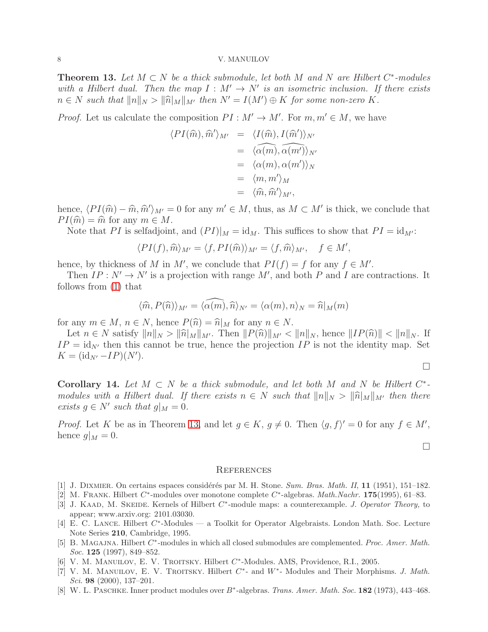<span id="page-7-8"></span>**Theorem 13.** Let  $M \subset N$  be a thick submodule, let both M and N are Hilbert  $C^*$ -modules with a Hilbert dual. Then the map  $I: M' \to N'$  is an isometric inclusion. If there exists  $n \in N$  such that  $||n||_N > ||\widehat{n}|_M||_{M'}$  then  $N' = I(M') \oplus K$  for some non-zero K.

*Proof.* Let us calculate the composition  $PI : M' \to M'$ . For  $m, m' \in M$ , we have

$$
\langle PI(\widehat{m}), \widehat{m}' \rangle_{M'} = \langle I(\widehat{m}), I(\widehat{m}') \rangle_{N'}
$$
  
=  $\langle \widehat{\alpha}(m), \widehat{\alpha}(m') \rangle_{N'}$   
=  $\langle \alpha(m), \alpha(m') \rangle_N$   
=  $\langle m, m' \rangle_M$   
=  $\langle \widehat{m}, \widehat{m}' \rangle_{M'},$ 

hence,  $\langle PI(\hat{m}) - \hat{m}, \hat{m}' \rangle_{M'} = 0$  for any  $m' \in M$ , thus, as  $M \subset M'$  is thick, we conclude that  $PI(\hat{m}) = \hat{m}$  for any  $m \in M$ .

Note that PI is selfadjoint, and  $(PI)|_M = id_M$ . This suffices to show that  $PI = id_{M'}$ :

$$
\langle PI(f), \widehat{m} \rangle_{M'} = \langle f, PI(\widehat{m}) \rangle_{M'} = \langle f, \widehat{m} \rangle_{M'}, \quad f \in M',
$$

hence, by thickness of M in M', we conclude that  $PI(f) = f$  for any  $f \in M'$ .

Then  $IP: N' \to N'$  is a projection with range M', and both P and I are contractions. It follows from [\(1\)](#page-6-0) that

$$
\langle \widehat{m}, P(\widehat{n}) \rangle_{M'} = \langle \widehat{\alpha(m)}, \widehat{n} \rangle_{N'} = \langle \alpha(m), n \rangle_N = \widehat{n}|_M(m)
$$

for any  $m \in M$ ,  $n \in N$ , hence  $P(\widehat{n}) = \widehat{n}|_M$  for any  $n \in N$ .

Let  $n \in N$  satisfy  $||n||_N > ||\hat{n}||_M||_M'$ . Then  $||P(\hat{n})||_M' < ||n||_N$ , hence  $||IP(\hat{n})|| < ||n||_N$ . If  $IP = id_{N'}$  then this cannot be true, hence the projection IP is not the identity map. Set  $K = (\text{id}_{N'} - IP)(N').$ 

 $\Box$ 

Corollary 14. Let  $M \subset N$  be a thick submodule, and let both M and N be Hilbert  $C^*$ modules with a Hilbert dual. If there exists  $n \in N$  such that  $||n||_N > ||\hat{n}||_M||_M'$  then there exists  $g \in N'$  such that  $g|_M = 0$ .

*Proof.* Let K be as in Theorem [13,](#page-7-8) and let  $g \in K$ ,  $g \neq 0$ . Then  $\langle g, f \rangle' = 0$  for any  $f \in M'$ , hence  $g|_M = 0$ .

 $\Box$ 

### **REFERENCES**

- <span id="page-7-6"></span><span id="page-7-4"></span>[1] J. DIXMIER. On certains espaces considérés par M. H. Stone. Sum. Bras. Math. II, 11 (1951), 151–182.
- <span id="page-7-5"></span>[2] M. FRANK. Hilbert  $C^*$ -modules over monotone complete  $C^*$ -algebras. *Math.Nachr.* 175(1995), 61–83.
- [3] J. KAAD, M. SKEIDE. Kernels of Hilbert  $C^*$ -module maps: a counterexample. J. Operator Theory, to appear; www.arxiv.org: 2101.03030.
- <span id="page-7-1"></span>[4] E. C. LANCE. Hilbert  $C^*$ -Modules — a Toolkit for Operator Algebraists. London Math. Soc. Lecture Note Series 210, Cambridge, 1995.
- <span id="page-7-7"></span>[5] B. MAGAJNA. Hilbert  $C^*$ -modules in which all closed submodules are complemented. Proc. Amer. Math. Soc. **125** (1997), 849-852.
- <span id="page-7-3"></span><span id="page-7-2"></span>[6] V. M. MANUILOV, E. V. TROITSKY. Hilbert C<sup>\*</sup>-Modules. AMS, Providence, R.I., 2005.
- [7] V. M. MANUILOV, E. V. TROITSKY. Hilbert  $C^*$  and  $W^*$  Modules and Their Morphisms. J. Math. Sci. 98  $(2000)$ , 137–201.
- <span id="page-7-0"></span>[8] W. L. PASCHKE. Inner product modules over B<sup>∗</sup>-algebras. Trans. Amer. Math. Soc. 182 (1973), 443–468.